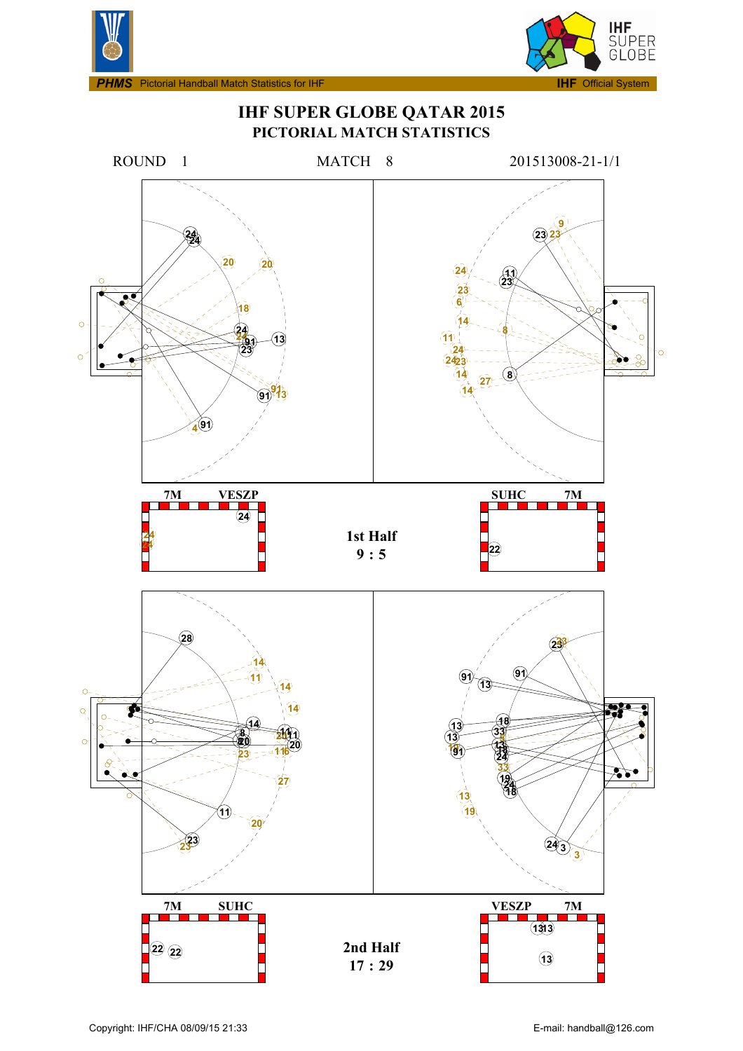

**IHF SUPER GLOBE QATAR 2015**

**IHF** ...<br>SUPER<br>GLOBE

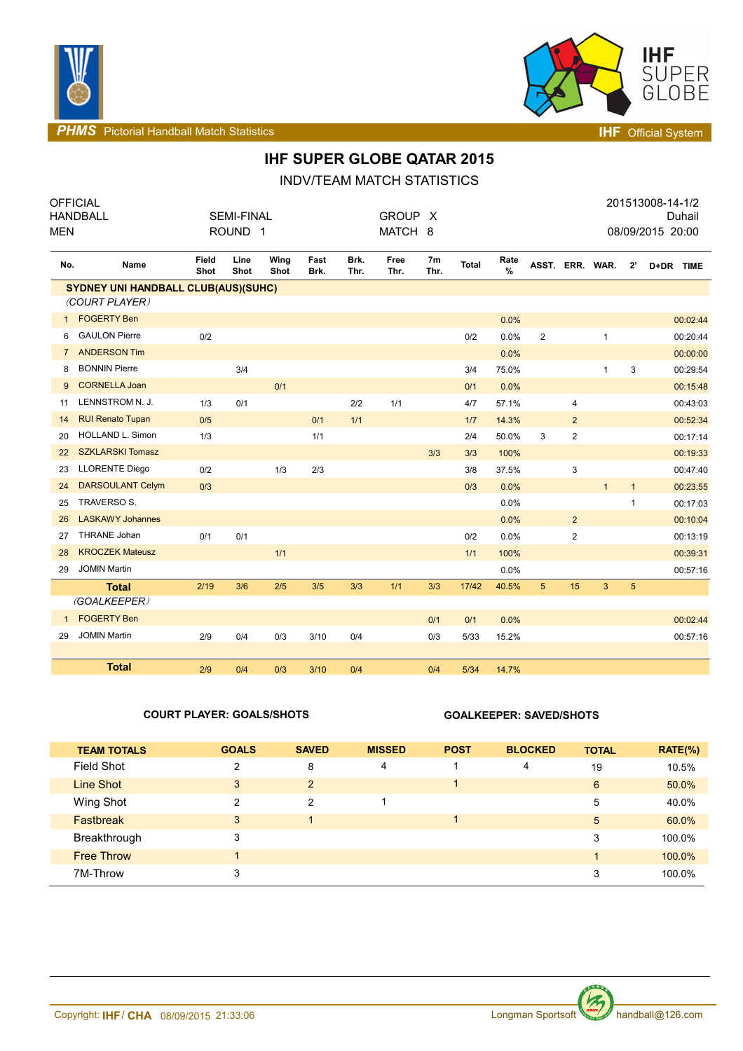



**PHMS** Pictorial Handball Match Statistics **INF** Official System

## **IHF SUPER GLOBE QATAR 2015**

INDV/TEAM MATCH STATISTICS

| MEN            | <b>OFFICIAL</b><br><b>HANDBALL</b>         |               | <b>SEMI-FINAL</b><br>ROUND <sub>1</sub> |              |              |              | GROUP X<br>MATCH 8 |            |              |              |                 |                         |              |              | 201513008-14-1/2<br>Duhail<br>08/09/2015 20:00 |
|----------------|--------------------------------------------|---------------|-----------------------------------------|--------------|--------------|--------------|--------------------|------------|--------------|--------------|-----------------|-------------------------|--------------|--------------|------------------------------------------------|
| No.            | Name                                       | Field<br>Shot | Line<br>Shot                            | Wing<br>Shot | Fast<br>Brk. | Brk.<br>Thr. | Free<br>Thr.       | 7m<br>Thr. | <b>Total</b> | Rate<br>$\%$ | ASST. ERR. WAR. |                         |              | 2'           | D+DR TIME                                      |
|                | <b>SYDNEY UNI HANDBALL CLUB(AUS)(SUHC)</b> |               |                                         |              |              |              |                    |            |              |              |                 |                         |              |              |                                                |
|                | (COURT PLAYER)                             |               |                                         |              |              |              |                    |            |              |              |                 |                         |              |              |                                                |
| $\mathbf{1}$   | <b>FOGERTY Ben</b>                         |               |                                         |              |              |              |                    |            |              | 0.0%         |                 |                         |              |              | 00:02:44                                       |
| 6              | <b>GAULON Pierre</b>                       | 0/2           |                                         |              |              |              |                    |            | 0/2          | 0.0%         | $\overline{2}$  |                         | $\mathbf{1}$ |              | 00:20:44                                       |
| $\overline{7}$ | <b>ANDERSON Tim</b>                        |               |                                         |              |              |              |                    |            |              | 0.0%         |                 |                         |              |              | 00:00:00                                       |
| 8              | <b>BONNIN Pierre</b>                       |               | 3/4                                     |              |              |              |                    |            | 3/4          | 75.0%        |                 |                         | $\mathbf{1}$ | 3            | 00:29:54                                       |
| 9              | <b>CORNELLA Joan</b>                       |               |                                         | 0/1          |              |              |                    |            | 0/1          | 0.0%         |                 |                         |              |              | 00:15:48                                       |
| 11             | LENNSTROM N. J.                            | 1/3           | 0/1                                     |              |              | 2/2          | 1/1                |            | 4/7          | 57.1%        |                 | 4                       |              |              | 00:43:03                                       |
| 14             | <b>RUI Renato Tupan</b>                    | 0/5           |                                         |              | 0/1          | 1/1          |                    |            | 1/7          | 14.3%        |                 | $\overline{2}$          |              |              | 00:52:34                                       |
| 20             | HOLLAND L. Simon                           | 1/3           |                                         |              | 1/1          |              |                    |            | 2/4          | 50.0%        | 3               | 2                       |              |              | 00:17:14                                       |
| 22             | <b>SZKLARSKI Tomasz</b>                    |               |                                         |              |              |              |                    | 3/3        | 3/3          | 100%         |                 |                         |              |              | 00:19:33                                       |
| 23             | <b>LLORENTE Diego</b>                      | 0/2           |                                         | 1/3          | 2/3          |              |                    |            | 3/8          | 37.5%        |                 | 3                       |              |              | 00:47:40                                       |
| 24             | <b>DARSOULANT Celym</b>                    | 0/3           |                                         |              |              |              |                    |            | 0/3          | 0.0%         |                 |                         | $\mathbf{1}$ | $\mathbf{1}$ | 00:23:55                                       |
| 25             | TRAVERSO S.                                |               |                                         |              |              |              |                    |            |              | 0.0%         |                 |                         |              | 1            | 00:17:03                                       |
| 26             | <b>LASKAWY Johannes</b>                    |               |                                         |              |              |              |                    |            |              | 0.0%         |                 | $\overline{2}$          |              |              | 00:10:04                                       |
| 27             | <b>THRANE Johan</b>                        | 0/1           | 0/1                                     |              |              |              |                    |            | 0/2          | 0.0%         |                 | $\overline{\mathbf{c}}$ |              |              | 00:13:19                                       |
| 28             | <b>KROCZEK Mateusz</b>                     |               |                                         | 1/1          |              |              |                    |            | $1/1$        | 100%         |                 |                         |              |              | 00:39:31                                       |
| 29             | <b>JOMIN Martin</b>                        |               |                                         |              |              |              |                    |            |              | 0.0%         |                 |                         |              |              | 00:57:16                                       |
|                | <b>Total</b>                               | 2/19          | 3/6                                     | 2/5          | 3/5          | 3/3          | 1/1                | 3/3        | 17/42        | 40.5%        | $5\phantom{1}$  | 15                      | 3            | $\sqrt{5}$   |                                                |
|                | (GOALKEEPER)                               |               |                                         |              |              |              |                    |            |              |              |                 |                         |              |              |                                                |
| $\mathbf{1}$   | <b>FOGERTY Ben</b>                         |               |                                         |              |              |              |                    | 0/1        | 0/1          | 0.0%         |                 |                         |              |              | 00:02:44                                       |
| 29             | <b>JOMIN Martin</b>                        | 2/9           | 0/4                                     | 0/3          | 3/10         | 0/4          |                    | 0/3        | 5/33         | 15.2%        |                 |                         |              |              | 00:57:16                                       |
|                | <b>Total</b>                               |               |                                         |              |              |              |                    |            |              |              |                 |                         |              |              |                                                |
|                |                                            | 2/9           | 0/4                                     | 0/3          | 3/10         | 0/4          |                    | 0/4        | 5/34         | 14.7%        |                 |                         |              |              |                                                |

### **COURT PLAYER: GOALS/SHOTS GOALKEEPER: SAVED/SHOTS**

| <b>TEAM TOTALS</b> | <b>GOALS</b> | <b>SAVED</b> | <b>MISSED</b> | <b>POST</b> | <b>BLOCKED</b> | <b>TOTAL</b>   | $RATE(\% )$ |
|--------------------|--------------|--------------|---------------|-------------|----------------|----------------|-------------|
| Field Shot         | 2            | 8            | 4             |             | 4              | 19             | 10.5%       |
| Line Shot          | 3            | 2            |               |             |                | 6              | 50.0%       |
| Wing Shot          | 2            | 2            |               |             |                | 5              | 40.0%       |
| <b>Fastbreak</b>   | 3            |              |               |             |                | 5              | 60.0%       |
| Breakthrough       | 3            |              |               |             |                | 3              | 100.0%      |
| <b>Free Throw</b>  | 1.           |              |               |             |                | $\blacksquare$ | 100.0%      |
| 7M-Throw           | 3            |              |               |             |                | 3              | 100.0%      |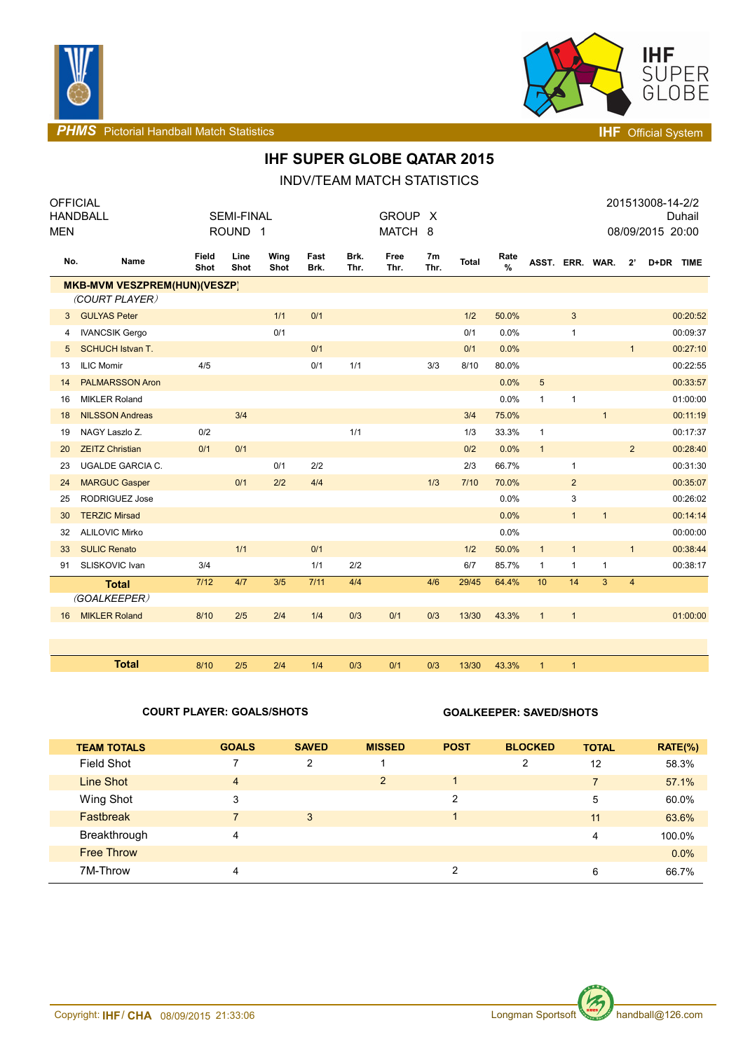



**PHMS** Pictorial Handball Match Statistics **Intervalse and Contract Contract Contract Contract Contract Contract Contract Contract Contract Contract Contract Contract Contract Contract Contract Contract Contract Contract C** 

## **IHF SUPER GLOBE QATAR 2015**

INDV/TEAM MATCH STATISTICS

| <b>OFFICIAL</b>                     |                         |               |                    |              |              |              |              |                        |              |                       |                 |                |                |                | 201513008-14-2/2 |
|-------------------------------------|-------------------------|---------------|--------------------|--------------|--------------|--------------|--------------|------------------------|--------------|-----------------------|-----------------|----------------|----------------|----------------|------------------|
| <b>HANDBALL</b>                     |                         |               | <b>SEMI-FINAL</b>  |              |              |              | GROUP X      |                        |              |                       |                 |                |                |                | Duhail           |
| <b>MEN</b>                          |                         |               | ROUND <sub>1</sub> |              |              |              | MATCH 8      |                        |              |                       |                 |                |                |                | 08/09/2015 20:00 |
| No.                                 | Name                    | Field<br>Shot | Line<br>Shot       | Wing<br>Shot | Fast<br>Brk. | Brk.<br>Thr. | Free<br>Thr. | 7 <sub>m</sub><br>Thr. | <b>Total</b> | Rate<br>$\frac{9}{6}$ | ASST. ERR. WAR. |                |                | $2^{\prime}$   | D+DR TIME        |
| <b>MKB-MVM VESZPREM(HUN)(VESZP)</b> |                         |               |                    |              |              |              |              |                        |              |                       |                 |                |                |                |                  |
|                                     | (COURT PLAYER)          |               |                    |              |              |              |              |                        |              |                       |                 |                |                |                |                  |
| 3                                   | <b>GULYAS Peter</b>     |               |                    | 1/1          | 0/1          |              |              |                        | 1/2          | 50.0%                 |                 | 3              |                |                | 00:20:52         |
| 4                                   | <b>IVANCSIK Gergo</b>   |               |                    | 0/1          |              |              |              |                        | 0/1          | 0.0%                  |                 | $\mathbf{1}$   |                |                | 00:09:37         |
| 5                                   | <b>SCHUCH Istvan T.</b> |               |                    |              | 0/1          |              |              |                        | 0/1          | 0.0%                  |                 |                |                | $\mathbf{1}$   | 00:27:10         |
| 13                                  | <b>ILIC Momir</b>       | 4/5           |                    |              | 0/1          | 1/1          |              | 3/3                    | 8/10         | 80.0%                 |                 |                |                |                | 00:22:55         |
| 14                                  | <b>PALMARSSON Aron</b>  |               |                    |              |              |              |              |                        |              | 0.0%                  | 5               |                |                |                | 00:33:57         |
| 16                                  | <b>MIKLER Roland</b>    |               |                    |              |              |              |              |                        |              | 0.0%                  | 1               | $\mathbf{1}$   |                |                | 01:00:00         |
| 18                                  | <b>NILSSON Andreas</b>  |               | 3/4                |              |              |              |              |                        | 3/4          | 75.0%                 |                 |                | $\mathbf{1}$   |                | 00:11:19         |
| 19                                  | NAGY Laszlo Z.          | 0/2           |                    |              |              | 1/1          |              |                        | 1/3          | 33.3%                 | $\mathbf{1}$    |                |                |                | 00:17:37         |
| 20                                  | <b>ZEITZ Christian</b>  | 0/1           | 0/1                |              |              |              |              |                        | 0/2          | 0.0%                  | $\mathbf{1}$    |                |                | $\overline{2}$ | 00:28:40         |
| 23                                  | <b>UGALDE GARCIA C.</b> |               |                    | 0/1          | 2/2          |              |              |                        | 2/3          | 66.7%                 |                 | $\mathbf{1}$   |                |                | 00:31:30         |
| 24                                  | <b>MARGUC Gasper</b>    |               | 0/1                | 2/2          | 4/4          |              |              | 1/3                    | 7/10         | 70.0%                 |                 | $\overline{2}$ |                |                | 00:35:07         |
| 25                                  | <b>RODRIGUEZ Jose</b>   |               |                    |              |              |              |              |                        |              | 0.0%                  |                 | 3              |                |                | 00:26:02         |
| 30                                  | <b>TERZIC Mirsad</b>    |               |                    |              |              |              |              |                        |              | 0.0%                  |                 | $\mathbf{1}$   | $\mathbf{1}$   |                | 00:14:14         |
| 32                                  | <b>ALILOVIC Mirko</b>   |               |                    |              |              |              |              |                        |              | 0.0%                  |                 |                |                |                | 00:00:00         |
| 33                                  | <b>SULIC Renato</b>     |               | 1/1                |              | 0/1          |              |              |                        | 1/2          | 50.0%                 | $\mathbf{1}$    | $\mathbf{1}$   |                | $\mathbf{1}$   | 00:38:44         |
| 91                                  | SLISKOVIC Ivan          | 3/4           |                    |              | 1/1          | 2/2          |              |                        | 6/7          | 85.7%                 | 1               | $\mathbf{1}$   | $\mathbf{1}$   |                | 00:38:17         |
|                                     | <b>Total</b>            | 7/12          | 4/7                | 3/5          | 7/11         | 4/4          |              | 4/6                    | 29/45        | 64.4%                 | 10              | 14             | $\overline{3}$ | $\overline{4}$ |                  |
|                                     | (GOALKEEPER)            |               |                    |              |              |              |              |                        |              |                       |                 |                |                |                |                  |
| 16                                  | <b>MIKLER Roland</b>    | 8/10          | 2/5                | 2/4          | 1/4          | 0/3          | 0/1          | 0/3                    | 13/30        | 43.3%                 | $\mathbf{1}$    | $\mathbf{1}$   |                |                | 01:00:00         |
|                                     |                         |               |                    |              |              |              |              |                        |              |                       |                 |                |                |                |                  |
|                                     |                         |               |                    |              |              |              |              |                        |              |                       |                 |                |                |                |                  |
|                                     | <b>Total</b>            | 8/10          | 2/5                | 2/4          | 1/4          | 0/3          | 0/1          | 0/3                    | 13/30        | 43.3%                 | $\mathbf{1}$    | $\overline{1}$ |                |                |                  |

### **COURT PLAYER: GOALS/SHOTS GOALKEEPER: SAVED/SHOTS**

| <b>TEAM TOTALS</b> | <b>GOALS</b>            | <b>SAVED</b> | <b>MISSED</b>  | <b>POST</b> | <b>BLOCKED</b> | <b>TOTAL</b>   | $RATE(\%)$ |
|--------------------|-------------------------|--------------|----------------|-------------|----------------|----------------|------------|
| <b>Field Shot</b>  |                         | 2            |                |             | 2              | 12             | 58.3%      |
| Line Shot          | $\overline{\mathbf{4}}$ |              | $\overline{2}$ |             |                | $\overline{7}$ | 57.1%      |
| Wing Shot          | 3                       |              |                | 2           |                | 5              | 60.0%      |
| Fastbreak          |                         | 3            |                |             |                | 11             | 63.6%      |
| Breakthrough       | 4                       |              |                |             |                | 4              | 100.0%     |
| <b>Free Throw</b>  |                         |              |                |             |                |                | 0.0%       |
| 7M-Throw           | 4                       |              |                | 2           |                | 6              | 66.7%      |